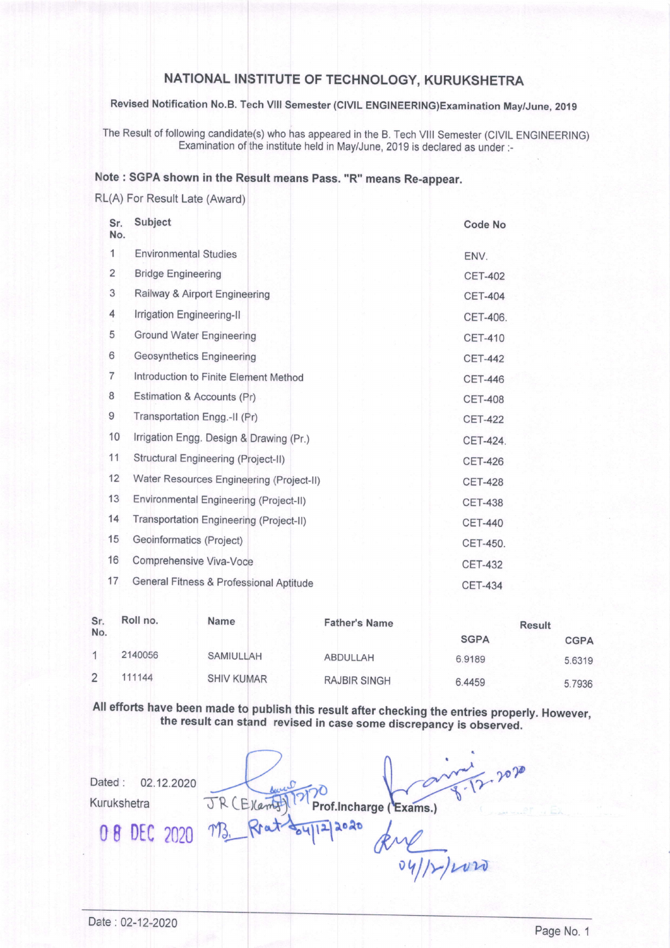## NATIONAL INSTITUTE OF TECHNOLOGY, KURUKSHETRA

Revised Notification No.B. Tech Vlll Semester (ClVtL ENGINEERING)Examination May/June, 2019

The Result of following candidate(s) who has appeared in the B. Tech VIII Semester (CIVIL ENGINEERING) Examination of the institute held in May/June,2019 is declared as under:-

## Note : SGPA shown in the Result means pass. "R" means Re-appear.

RL(A) For Result Late (Award)

| Sr.<br>No.     | Subject                                  | <b>Code No</b> |
|----------------|------------------------------------------|----------------|
| 1              | <b>Environmental Studies</b>             | ENV.           |
| 2              | <b>Bridge Engineering</b>                | <b>CET-402</b> |
| 3              | Railway & Airport Engineering            | <b>CET-404</b> |
| 4              | Irrigation Engineering-II                | CET-406.       |
| 5              | <b>Ground Water Engineering</b>          | <b>CET-410</b> |
| 6              | <b>Geosynthetics Engineering</b>         | <b>CET-442</b> |
| $\overline{7}$ | Introduction to Finite Element Method    | <b>CET-446</b> |
| 8              | Estimation & Accounts (Pr)               | <b>CET-408</b> |
| 9              | Transportation Engg.-II (Pr)             | <b>CET-422</b> |
| 10             | Irrigation Engg. Design & Drawing (Pr.)  | CET-424.       |
| 11             | Structural Engineering (Project-II)      | <b>CET-426</b> |
| 12             | Water Resources Engineering (Project-II) | <b>CET-428</b> |
| 13             | Environmental Engineering (Project-II)   | <b>CET-438</b> |
| 14             | Transportation Engineering (Project-II)  | <b>CET-440</b> |
| 15             | Geoinformatics (Project)                 | CET-450.       |
| 16             | Comprehensive Viva-Voce                  | <b>CET-432</b> |
| 17             | General Fitness & Professional Aptitude  | <b>CET-434</b> |

| Sr.<br>No. | Roll no. | <b>Name</b>       | <b>Father's Name</b> | <b>Result</b> |             |
|------------|----------|-------------------|----------------------|---------------|-------------|
|            |          |                   |                      | <b>SGPA</b>   | <b>CGPA</b> |
|            | 2140056  | SAMIULLAH         | ABDULLAH             | 6.9189        | 5.6319      |
|            | 111144   | <b>SHIV KUMAR</b> | <b>RAJBIR SINGH</b>  | 6.4459        | 5.7936      |

All efforts have been made to publish this result after checking the entries properly. However, the result can stand revised in case some discrepancy is observed.

 $\frac{1}{12}$ , 2020 Dated: 02.12.2020 JR (E) Camptl Kurukshetra Prof.Incharge (Exams.) 08 DEC 2020 M3, Reat Supper 2020  $\frac{1}{\frac{1}{\frac{1}{\sqrt{1-\frac{1}{\sqrt{1-\frac{1}{\sqrt{1-\frac{1}{\sqrt{1-\frac{1}{\sqrt{1-\frac{1}{\sqrt{1-\frac{1}{\sqrt{1-\frac{1}{\sqrt{1-\frac{1}{\sqrt{1-\frac{1}{\sqrt{1-\frac{1}{\sqrt{1-\frac{1}{\sqrt{1-\frac{1}{\sqrt{1-\frac{1}{\sqrt{1-\frac{1}{\sqrt{1-\frac{1}{\sqrt{1-\frac{1}{\sqrt{1-\frac{1}{\sqrt{1-\frac{1}{\sqrt{1-\frac{1}{\sqrt{1-\frac{1}{\sqrt{1-\frac{1}{\sqrt{1-\frac{1}{\sqrt{1-\frac{$